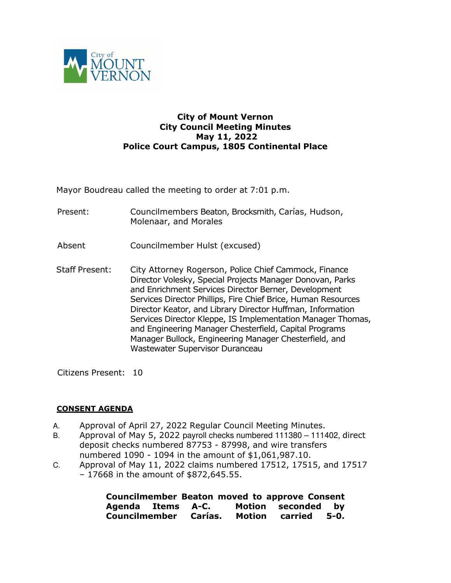

## **City of Mount Vernon City Council Meeting Minutes May 11, 2022 Police Court Campus, 1805 Continental Place**

Mayor Boudreau called the meeting to order at 7:01 p.m.

- Present: Councilmembers Beaton, Brocksmith, Carías, Hudson, Molenaar, and Morales
- Absent Councilmember Hulst (excused)
- Staff Present: City Attorney Rogerson, Police Chief Cammock, Finance Director Volesky, Special Projects Manager Donovan, Parks and Enrichment Services Director Berner, Development Services Director Phillips, Fire Chief Brice, Human Resources Director Keator, and Library Director Huffman, Information Services Director Kleppe, IS Implementation Manager Thomas, and Engineering Manager Chesterfield, Capital Programs Manager Bullock, Engineering Manager Chesterfield, and Wastewater Supervisor Duranceau

Citizens Present: 10

## **CONSENT AGENDA**

- A. Approval of April 27, 2022 Regular Council Meeting Minutes.
- B. Approval of May 5, 2022 payroll checks numbered 111380 111402, direct deposit checks numbered 87753 - 87998, and wire transfers numbered 1090 - 1094 in the amount of \$1,061,987.10.
- C. Approval of May 11, 2022 claims numbered 17512, 17515, and 17517 – 17668 in the amount of \$872,645.55.

|                   |  | <b>Councilmember Beaton moved to approve Consent</b> |  |
|-------------------|--|------------------------------------------------------|--|
| Agenda Items A-C. |  | Motion seconded by                                   |  |
|                   |  | Councilmember Carías. Motion carried 5-0.            |  |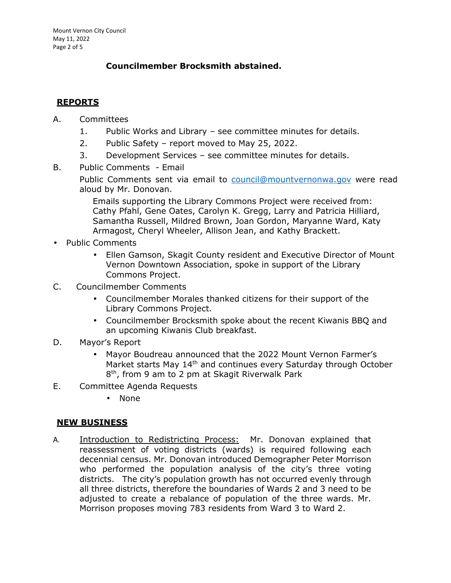## **Councilmember Brocksmith abstained.**

# **REPORTS**

- A. Committees
	- 1. Public Works and Library see committee minutes for details.
	- 2. Public Safety report moved to May 25, 2022.
	- 3. Development Services see committee minutes for details.
- B. Public Comments Email

Public Comments sent via email to council@mountvernonwa.gov were read aloud by Mr. Donovan.

Emails supporting the Library Commons Project were received from: Cathy Pfahl, Gene Oates, Carolyn K. Gregg, Larry and Patricia Hilliard, Samantha Russell, Mildred Brown, Joan Gordon, Maryanne Ward, Katy Armagost, Cheryl Wheeler, Allison Jean, and Kathy Brackett.

- Public Comments
	- Ellen Gamson, Skagit County resident and Executive Director of Mount Vernon Downtown Association, spoke in support of the Library Commons Project.
- C. Councilmember Comments
	- Councilmember Morales thanked citizens for their support of the Library Commons Project.
	- Councilmember Brocksmith spoke about the recent Kiwanis BBQ and an upcoming Kiwanis Club breakfast.
- D. Mayor's Report
	- Mayor Boudreau announced that the 2022 Mount Vernon Farmer's Market starts May 14<sup>th</sup> and continues every Saturday through October 8 th, from 9 am to 2 pm at Skagit Riverwalk Park
- E. Committee Agenda Requests
	- None

## **NEW BUSINESS**

A. Introduction to Redistricting Process: Mr. Donovan explained that reassessment of voting districts (wards) is required following each decennial census. Mr. Donovan introduced Demographer Peter Morrison who performed the population analysis of the city's three voting districts. The city's population growth has not occurred evenly through all three districts, therefore the boundaries of Wards 2 and 3 need to be adjusted to create a rebalance of population of the three wards. Mr. Morrison proposes moving 783 residents from Ward 3 to Ward 2.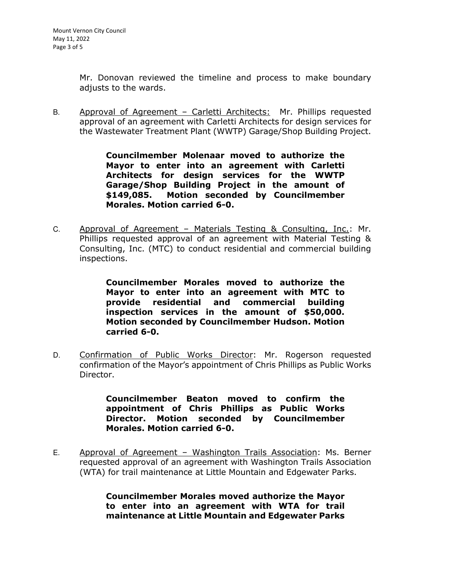Mr. Donovan reviewed the timeline and process to make boundary adjusts to the wards.

B. Approval of Agreement – Carletti Architects: Mr. Phillips requested approval of an agreement with Carletti Architects for design services for the Wastewater Treatment Plant (WWTP) Garage/Shop Building Project.

> **Councilmember Molenaar moved to authorize the Mayor to enter into an agreement with Carletti Architects for design services for the WWTP Garage/Shop Building Project in the amount of \$149,085. Motion seconded by Councilmember Morales. Motion carried 6-0.**

C. Approval of Agreement – Materials Testing & Consulting, Inc.: Mr. Phillips requested approval of an agreement with Material Testing & Consulting, Inc. (MTC) to conduct residential and commercial building inspections.

> **Councilmember Morales moved to authorize the Mayor to enter into an agreement with MTC to provide residential and commercial building inspection services in the amount of \$50,000. Motion seconded by Councilmember Hudson. Motion carried 6-0.**

D. Confirmation of Public Works Director: Mr. Rogerson requested confirmation of the Mayor's appointment of Chris Phillips as Public Works Director.

> **Councilmember Beaton moved to confirm the appointment of Chris Phillips as Public Works Director. Motion seconded by Councilmember Morales. Motion carried 6-0.**

E. Approval of Agreement – Washington Trails Association: Ms. Berner requested approval of an agreement with Washington Trails Association (WTA) for trail maintenance at Little Mountain and Edgewater Parks.

> **Councilmember Morales moved authorize the Mayor to enter into an agreement with WTA for trail maintenance at Little Mountain and Edgewater Parks**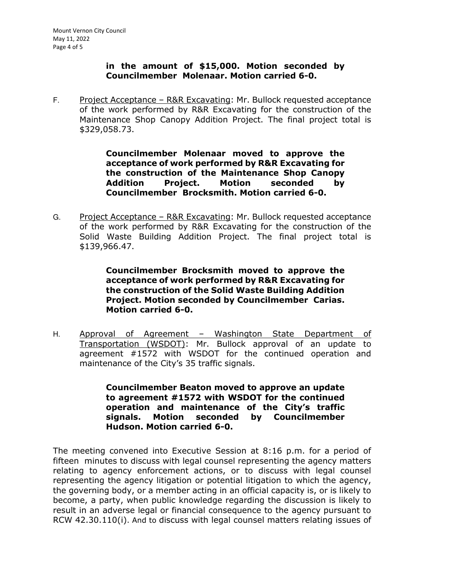#### **in the amount of \$15,000. Motion seconded by Councilmember Molenaar. Motion carried 6-0.**

F. Project Acceptance – R&R Excavating: Mr. Bullock requested acceptance of the work performed by R&R Excavating for the construction of the Maintenance Shop Canopy Addition Project. The final project total is \$329,058.73.

> **Councilmember Molenaar moved to approve the acceptance of work performed by R&R Excavating for the construction of the Maintenance Shop Canopy Addition Project. Motion seconded by Councilmember Brocksmith. Motion carried 6-0.**

G. Project Acceptance – R&R Excavating: Mr. Bullock requested acceptance of the work performed by R&R Excavating for the construction of the Solid Waste Building Addition Project. The final project total is \$139,966.47.

> **Councilmember Brocksmith moved to approve the acceptance of work performed by R&R Excavating for the construction of the Solid Waste Building Addition Project. Motion seconded by Councilmember Carias. Motion carried 6-0.**

H. Approval of Agreement - Washington State Department of Transportation (WSDOT): Mr. Bullock approval of an update to agreement #1572 with WSDOT for the continued operation and maintenance of the City's 35 traffic signals.

> **Councilmember Beaton moved to approve an update to agreement #1572 with WSDOT for the continued operation and maintenance of the City's traffic signals. Motion seconded by Councilmember Hudson. Motion carried 6-0.**

The meeting convened into Executive Session at 8:16 p.m. for a period of fifteen minutes to discuss with legal counsel representing the agency matters relating to agency enforcement actions, or to discuss with legal counsel representing the agency litigation or potential litigation to which the agency, the governing body, or a member acting in an official capacity is, or is likely to become, a party, when public knowledge regarding the discussion is likely to result in an adverse legal or financial consequence to the agency pursuant to RCW 42.30.110(i). And to discuss with legal counsel matters relating issues of